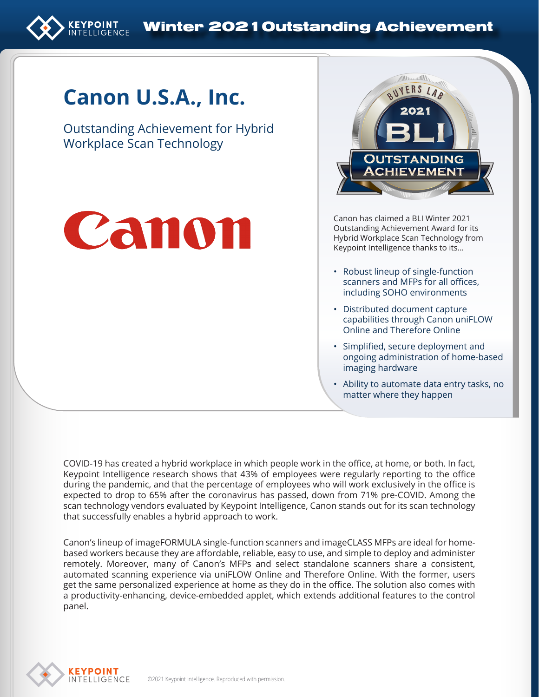

# **Canon U.S.A., Inc.**

Outstanding Achievement for Hybrid Workplace Scan Technology





Canon has claimed a BLI Winter 2021 Outstanding Achievement Award for its Hybrid Workplace Scan Technology from Keypoint Intelligence thanks to its…

- Robust lineup of single-function scanners and MFPs for all offices, including SOHO environments
- Distributed document capture capabilities through Canon uniFLOW Online and Therefore Online
- Simplified, secure deployment and ongoing administration of home-based imaging hardware
- Ability to automate data entry tasks, no matter where they happen

COVID-19 has created a hybrid workplace in which people work in the office, at home, or both. In fact, Keypoint Intelligence research shows that 43% of employees were regularly reporting to the office during the pandemic, and that the percentage of employees who will work exclusively in the office is expected to drop to 65% after the coronavirus has passed, down from 71% pre-COVID. Among the scan technology vendors evaluated by Keypoint Intelligence, Canon stands out for its scan technology that successfully enables a hybrid approach to work.

Canon's lineup of imageFORMULA single-function scanners and imageCLASS MFPs are ideal for homebased workers because they are affordable, reliable, easy to use, and simple to deploy and administer remotely. Moreover, many of Canon's MFPs and select standalone scanners share a consistent, automated scanning experience via uniFLOW Online and Therefore Online. With the former, users get the same personalized experience at home as they do in the office. The solution also comes with a productivity-enhancing, device-embedded applet, which extends additional features to the control panel.